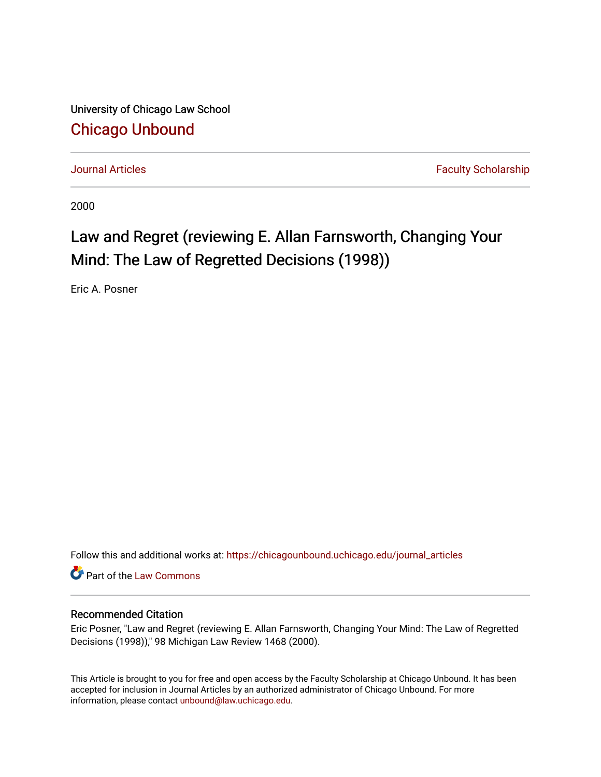University of Chicago Law School [Chicago Unbound](https://chicagounbound.uchicago.edu/)

[Journal Articles](https://chicagounbound.uchicago.edu/journal_articles) **Faculty Scholarship Journal Articles** 

2000

## Law and Regret (reviewing E. Allan Farnsworth, Changing Your Mind: The Law of Regretted Decisions (1998))

Eric A. Posner

Follow this and additional works at: [https://chicagounbound.uchicago.edu/journal\\_articles](https://chicagounbound.uchicago.edu/journal_articles?utm_source=chicagounbound.uchicago.edu%2Fjournal_articles%2F2741&utm_medium=PDF&utm_campaign=PDFCoverPages) 

Part of the [Law Commons](http://network.bepress.com/hgg/discipline/578?utm_source=chicagounbound.uchicago.edu%2Fjournal_articles%2F2741&utm_medium=PDF&utm_campaign=PDFCoverPages)

## Recommended Citation

Eric Posner, "Law and Regret (reviewing E. Allan Farnsworth, Changing Your Mind: The Law of Regretted Decisions (1998))," 98 Michigan Law Review 1468 (2000).

This Article is brought to you for free and open access by the Faculty Scholarship at Chicago Unbound. It has been accepted for inclusion in Journal Articles by an authorized administrator of Chicago Unbound. For more information, please contact [unbound@law.uchicago.edu](mailto:unbound@law.uchicago.edu).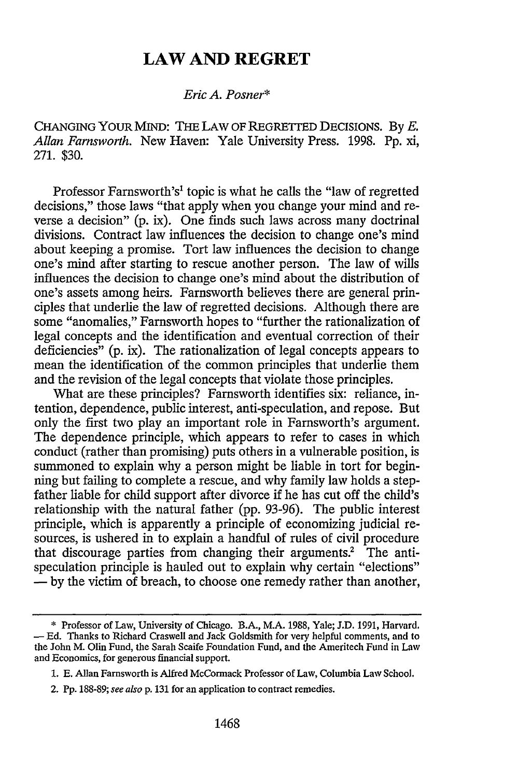## **LAW AND REGRET**

*Eric A. Posner\**

CHANGING YOUR MIND: THE LAW OF REGRETrED DECISIONS. By *E. Allan Farnsworth.* New Haven: Yale University Press. 1998. Pp. xi, 271. \$30.

Professor Farnsworth's' topic is what he calls the "law of regretted decisions," those laws "that apply when you change your mind and reverse a decision" (p. ix). One finds such laws across many doctrinal divisions. Contract law influences the decision to change one's mind about keeping a promise. Tort law influences the decision to change one's mind after starting to rescue another person. The law of wills influences the decision to change one's mind about the distribution of one's assets among heirs. Farnsworth believes there are general principles that underlie the law of regretted decisions. Although there are some "anomalies," Farnsworth hopes to "further the rationalization of legal concepts and the identification and eventual correction of their deficiencies" (p. ix). The rationalization of legal concepts appears to mean the identification of the common principles that underlie them and the revision of the legal concepts that violate those principles.

What are these principles? Farnsworth identifies six: reliance, intention, dependence, public interest, anti-speculation, and repose. But only the first two play an important role in Farnsworth's argument. The dependence principle, which appears to refer to cases in which conduct (rather than promising) puts others in a vulnerable position, is summoned to explain why a person might be liable in tort for beginning but failing to complete a rescue, and why family law holds a stepfather liable for child support after divorce if he has cut off the child's relationship with the natural father (pp. 93-96). The public interest principle, which is apparently a principle of economizing judicial resources, is ushered in to explain a handful of rules of civil procedure that discourage parties from changing their arguments.<sup>2</sup> The antispeculation principle is hauled out to explain why certain "elections" **-** by the victim of breach, to choose one remedy rather than another,

<sup>\*</sup> Professor of Law, University of Chicago. B.A., M.A. 1988, Yale; **J.D.** 1991, Harvard. - Ed. Thanks to Richard Craswell and Jack Goldsmith for very helpful comments, and to the John M. Olin Fund, the Sarah Scaife Foundation Fund, and the Ameritech Fund in Law and Economics, for generous financial support.

<sup>1.</sup> E. Allan Farnsworth is Alfred McCormack Professor of Law, Columbia Law School.

<sup>2.</sup> Pp. 188-89; see also p. 131 for an application to contract remedies.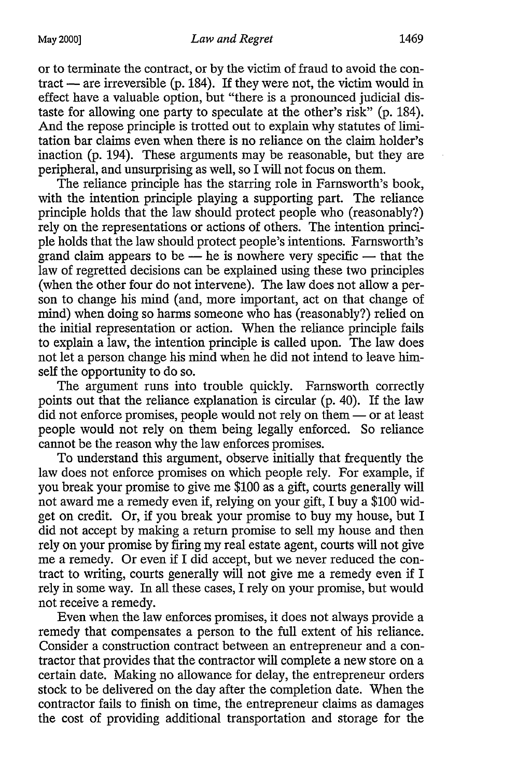or to terminate the contract, or by the victim of fraud to avoid the contract  $-$  are irreversible (p. 184). If they were not, the victim would in effect have a valuable option, but "there is a pronounced judicial distaste for allowing one party to speculate at the other's risk" (p. 184). And the repose principle is trotted out to explain why statutes of limitation bar claims even when there is no reliance on the claim holder's inaction (p. 194). These arguments may be reasonable, but they are peripheral, and unsurprising as well, so I will not focus on them.

The reliance principle has the starring role in Farnsworth's book, with the intention principle playing a supporting part. The reliance principle holds that the law should protect people who (reasonably?) rely on the representations or actions of others. The intention principle holds that the law should protect people's intentions. Farnsworth's grand claim appears to be  $\overline{-}$  he is nowhere very specific  $\overline{-}$  that the law of regretted decisions can be explained using these two principles (when the other four do not intervene). The law does not allow a person to change his mind (and, more important, act on that change of mind) when doing so harms someone who has (reasonably?) relied on the initial representation or action. When the reliance principle fails to explain a law, the intention principle is called upon. The law does not let a person change his mind when he did not intend to leave himself the opportunity to do so.

The argument runs into trouble quickly. Farnsworth correctly points out that the reliance explanation is circular (p. 40). If the law  $\overline{d}$ id not enforce promises, people would not rely on them — or at least people would not rely on them being legally enforced. So reliance cannot be the reason why the law enforces promises.

To understand this argument, observe initially that frequently the law does not enforce promises on which people rely. For example, if you break your promise to give me \$100 as a gift, courts generally will not award me a remedy even if, relying on your gift, I buy a \$100 widget on credit. Or, if you break your promise to buy my house, but I did not accept by making a return promise to sell my house and then rely on your promise by firing my real estate agent, courts will not give me a remedy. Or even if I did accept, but we never reduced the contract to writing, courts generally will not give me a remedy even if I rely in some way. In all these cases, I rely on your promise, but would not receive a remedy.

Even when the law enforces promises, it does not always provide a remedy that compensates a person to the full extent of his reliance. Consider a construction contract between an entrepreneur and a contractor that provides that the contractor will complete a new store on a certain date. Making no allowance for delay, the entrepreneur orders stock to be delivered on the day after the completion date. When the contractor fails to finish on time, the entrepreneur claims as damages the cost of providing additional transportation and storage for the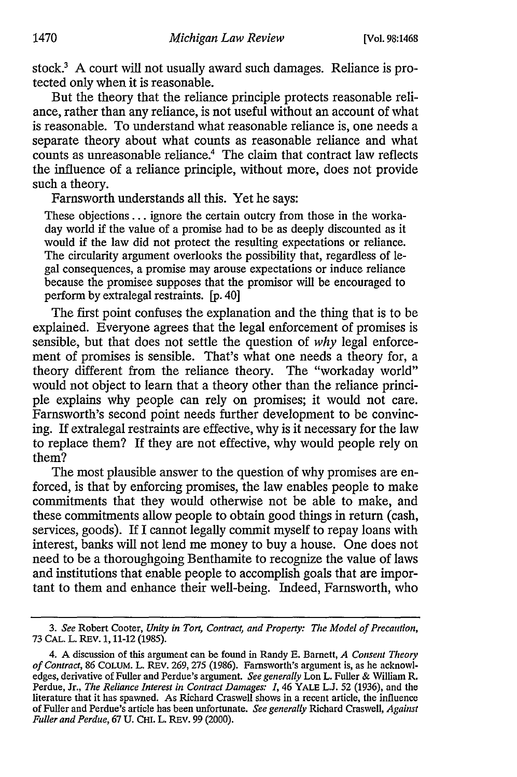stock? A court will not usually award such damages. Reliance is protected only when it is reasonable.

But the theory that the reliance principle protects reasonable reliance, rather than any reliance, is not useful without an account of what is reasonable. To understand what reasonable reliance is, one needs a separate theory about what counts as reasonable reliance and what counts as unreasonable reliance.4 The claim that contract law reflects the influence of a reliance principle, without more, does not provide such a theory.

Farnsworth understands all this. Yet he says:

These objections **...** ignore the certain outcry from those in the workaday world if the value of a promise had to be as deeply discounted as it would if the law did not protect the resulting expectations or reliance. The circularity argument overlooks the possibility that, regardless of legal consequences, a promise may arouse expectations or induce reliance because the promisee supposes that the promisor will be encouraged to perform by extralegal restraints. [p. 40]

The first point confuses the explanation and the thing that is to be explained. Everyone agrees that the legal enforcement of promises is sensible, but that does not settle the question of *why* legal enforcement of promises is sensible. That's what one needs a theory for, a theory different from the reliance theory. The "workaday world" would not object to learn that a theory other than the reliance principle explains why people can rely on promises; it would not care. Farnsworth's second point needs further development to be convincing. If extralegal restraints are effective, why is it necessary for the law to replace them? If they are not effective, why would people rely on them?

The most plausible answer to the question of why promises are enforced, is that by enforcing promises, the law enables people to make commitments that they would otherwise not be able to make, and these commitments allow people to obtain good things in return (cash, services, goods). If I cannot legally commit myself to repay loans with interest, banks will not lend me money to buy a house. One does not need to be a thoroughgoing Benthamite to recognize the value of laws and institutions that enable people to accomplish goals that are important to them and enhance their well-being. Indeed, Farnsworth, who

*<sup>3.</sup> See* Robert Cooter, *Unity in Tort, Contract, and Property: The Model of Precaution,* 73 CAL. L. REv. 1, 11-12 (1985).

<sup>4.</sup> A discussion of this argument can be found in Randy E. Barnett, *A Consent Theory of Contract,* 86 CoLuM. L. REV. 269, 275 (1986). Farnsworth's argument is, as he acknowledges, derivative of Fuller and Perdue's argument. *See generally* Lon L. Fuller & William R. Perdue, Jr., *The Reliance Interest in Contract Damages: 1,* 46 YALE **L.J.** 52 (1936), and the literature that it has spawned. As Richard Craswell shows in a recent article, the influence of Fuller and Perdue's article has been unfortunate. *See generally* Richard Craswell, *Against Fuller and Perdue,* 67 U. CHI. L. REV. 99 (2000).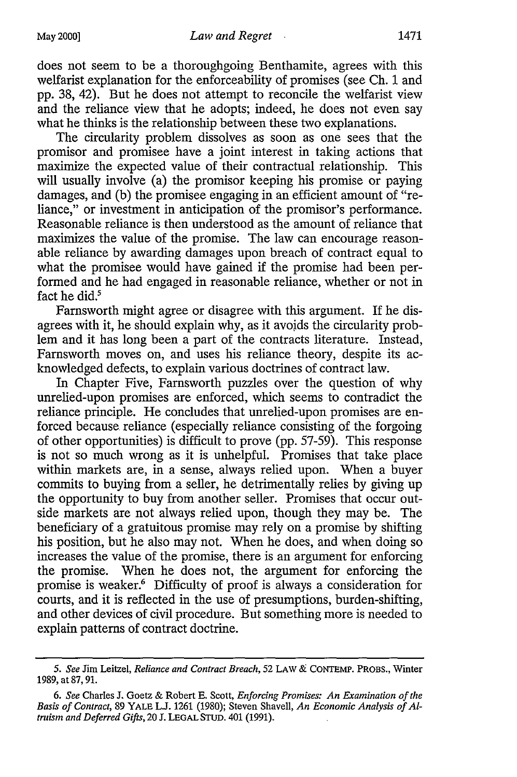does not seem to be a thoroughgoing Benthamite, agrees with this welfarist explanation for the enforceability of promises (see Ch. 1 and pp. 38, 42). But he does not attempt to reconcile the welfarist view and the reliance view that he adopts; indeed, he does not even say what he thinks is the relationship between these two explanations.

The circularity problem dissolves as soon as one sees that the promisor and promisee have a joint interest in taking actions that maximize the expected value of their contractual relationship. This will usually involve (a) the promisor keeping his promise or paying damages, and (b) the promisee engaging in an efficient amount of "reliance," or investment in anticipation of the promisor's performance. Reasonable reliance is then understood as the amount of reliance that maximizes the value of the promise. The law can encourage reasonable reliance by awarding damages upon breach of contract equal to what the promisee would have gained if the promise had been performed and he had engaged in reasonable reliance, whether or not in fact he did. $5$ 

Farnsworth might agree or disagree with this argument. If he disagrees with it, he should explain why, as it avoids the circularity problem and it has long been a part of the contracts literature. Instead, Farnsworth moves on, and uses his reliance theory, despite its acknowledged defects, to explain various doctrines of contract law.

In Chapter Five, Farnsworth puzzles over the question of why unrelied-upon promises are enforced, which seems to contradict the reliance principle. He concludes that unrelied-upon promises are enforced because reliance (especially reliance consisting of the forgoing of other opportunities) is difficult to prove (pp. 57-59). This response is not so much wrong as it is unhelpful. Promises that take place within markets are, in a sense, always relied upon. When a buyer commits to buying from a seller, he detrimentally relies by giving up the opportunity to buy from another seller. Promises that occur outside markets are not always relied upon, though they may be. The beneficiary of a gratuitous promise may rely on a promise by shifting his position, but he also may not. When he does, and when doing so increases the value of the promise, there is an argument for enforcing the promise. When he does not, the argument for enforcing the promise is weaker.6 Difficulty of proof is always a consideration for courts, and it is reflected in the use of presumptions, burden-shifting, and other devices of civil procedure. But something more is needed to explain patterns of contract doctrine.

*<sup>5.</sup> See* Jim Leitzel, *Reliance and Contract Breach,* **52** LAW *&* **CONTEMP.** PROBS., Winter 1989, at 87,91.

*<sup>6.</sup> See* Charles **J.** Goetz **&** Robert **E.** Scott, *Enforcing Promises: An Examination of the Basis of Contract,* **89** YALE **LJ. 1261 (1980);** Steven Shavell, *An Economic Analysis of Altruism and Deferred Gifts,* 20 **J. LEGAL STUD.** 401 **(1991).**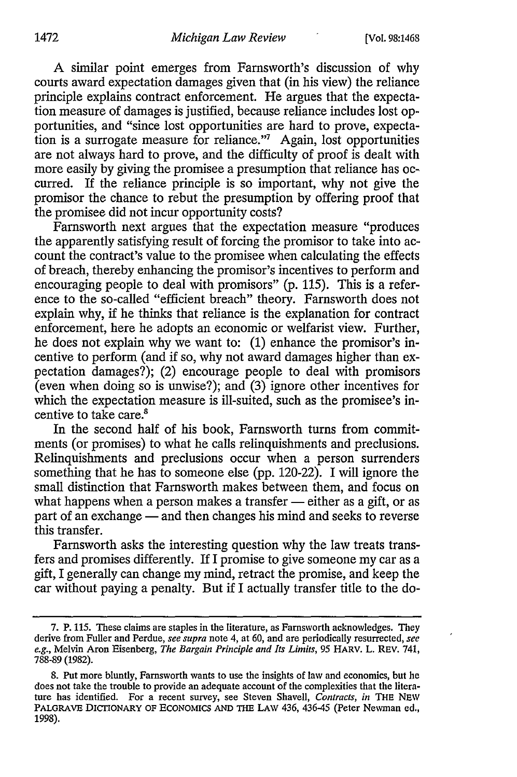A similar point emerges from Farnsworth's discussion of why courts award expectation damages given that (in his view) the reliance principle explains contract enforcement. He argues that the expectation measure of damages is justified, because reliance includes lost opportunities, and "since lost opportunities are hard to prove, expectation is a surrogate measure for reliance."7 Again, lost opportunities are not always hard to prove, and the difficulty of proof is dealt with more easily by giving the promisee a presumption that reliance has occurred. If the reliance principle is so important, why not give the promisor the chance to rebut the presumption by offering proof that the promisee did not incur opportunity costs?

Farnsworth next argues that the expectation measure "produces the apparently satisfying result of forcing the promisor to take into account the contract's value to the promisee when calculating the effects of breach, thereby enhancing the promisor's incentives to perform and encouraging people to deal with promisors" (p. 115). This is a reference to the so-called "efficient breach" theory. Farnsworth does not explain why, if he thinks that reliance is the explanation for contract enforcement, here he adopts an economic or welfarist view. Further, he does not explain why we want to: (1) enhance the promisor's incentive to perform (and if so, why not award damages higher than expectation damages?); (2) encourage people to deal with promisors (even when doing so is unwise?); and (3) ignore other incentives for which the expectation measure is ill-suited, such as the promisee's incentive to take care.8

In the second half of his book, Farnsworth turns from commitments (or promises) to what he calls relinquishments and preclusions. Relinquishments and preclusions occur when a person surrenders something that he has to someone else (pp. 120-22). I will ignore the small distinction that Farnsworth makes between them, and focus on what happens when a person makes a transfer  $-$  either as a gift, or as part of an exchange — and then changes his mind and seeks to reverse this transfer.

Farnsworth asks the interesting question why the law treats transfers and promises differently. If I promise to give someone my car as a gift, I generally can change my mind, retract the promise, and keep the car without paying a penalty. But if I actually transfer title to the do-

**<sup>7.</sup>** P. **115.** These claims are staples in the literature, as Farnsworth acknowledges. They derive from Fuller and Perdue, *see supra* note 4, at 60, and are periodically resurrected, *see e.g.,* Melvin Aron Eisenberg, *The Bargain Principle and Its Limits,* **95** HARV. L. REV. 741, 788-89 (1982).

<sup>8.</sup> Put more bluntly, Farnsworth wants to use the insights of law and economics, but he does not take the trouble to provide an adequate account of the complexities that the literature has identified. For a recent survey, see Steven Shavell, *Contracts, in* THE NEW PALGRAVE DICIONARY OF ECONOMICS **AND THE LAW** 436, 436-45 (Peter Newman **ed.,** 1998).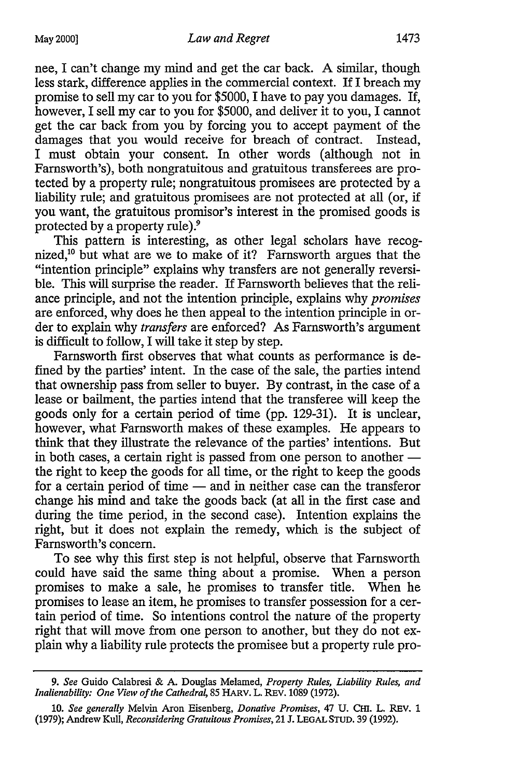nee, I can't change my mind and get the car back. A similar, though less stark, difference applies in the commercial context. If I breach my promise to sell my car to you for \$5000, I have to pay you damages. If, however, I sell my car to you for \$5000, and deliver it to you, I cannot get the car back from you by forcing you to accept payment of the damages that you would receive for breach of contract. Instead, I must obtain your consent. In other words (although not in Farnsworth's), both nongratuitous and gratuitous transferees are protected by a property rule; nongratuitous promisees are protected by a liability rule; and gratuitous promisees are not protected at all (or, if you want, the gratuitous promisor's interest in the promised goods is protected by a property rule).<sup>9</sup>

This pattern is interesting, as other legal scholars have recognized,<sup>10</sup> but what are we to make of it? Farnsworth argues that the "intention principle" explains why transfers are not generally reversible. This will surprise the reader. If Farnsworth believes that the reliance principle, and not the intention principle, explains why *promises* are enforced, why does he then appeal to the intention principle in order to explain why *transfers* are enforced? As Farnsworth's argument is difficult to follow, I will take it step by step.

Farnsworth first observes that what counts as performance is defined by the parties' intent. In the case of the sale, the parties intend that ownership pass from seller to buyer. By contrast, in the case of a lease or bailment, the parties intend that the transferee will keep the goods only for a certain period of time (pp. 129-31). It is unclear, however, what Farnsworth makes of these examples. He appears to think that they illustrate the relevance of the parties' intentions. But in both cases, a certain right is passed from one person to another  $$ the right to keep the goods for all time, or the right to keep the goods for a certain period of time  $-$  and in neither case can the transferor change his mind and take the goods back (at all in the first case and during the time period, in the second case). Intention explains the right, but it does not explain the remedy, which is the subject of Farnsworth's concern.

To see why this first step is not helpful, observe that Farnsworth could have said the same thing about a promise. When a person promises to make a sale, he promises to transfer title. When he promises to lease an item, he promises to transfer possession for a certain period of time. So intentions control the nature of the property right that will move from one person to another, but they do not explain why a liability rule protects the promisee but a property rule pro-

*<sup>9.</sup> See* Guido Calabresi & A. Douglas Melamed, *Property Rules, Liability Rules, and Inalienability: One View of the Cathedral* 85 HARV. L. REv. 1089 (1972).

<sup>10.</sup> *See generally* Melvin Aron Eisenberg, *Donative Promises,* 47 U. CH. L REV. 1 (1979); Andrew Kull, *Reconsidering Gratuitous Promises,* 21 J. LEGAL STUD. 39 (1992).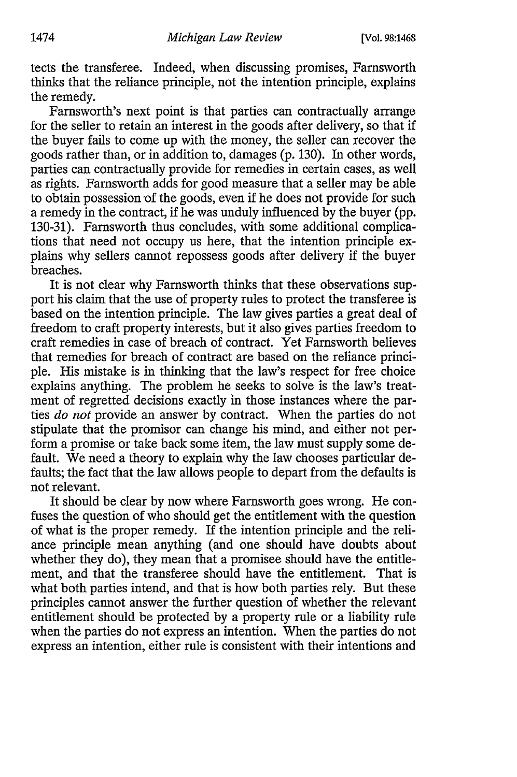tects the transferee. Indeed, when discussing promises, Farnsworth thinks that the reliance principle, not the intention principle, explains the remedy.

Farnsworth's next point is that parties can contractually arrange for the seller to retain an interest in the goods after delivery, so that if the buyer fails to come up with the money, the seller can recover the goods rather than, or in addition to, damages (p. 130). In other words, parties can contractually provide for remedies in certain cases, as well as rights. Farnsworth adds for good measure that a seller may be able to obtain possession of the goods, even if he does not provide for such a remedy in the contract, if he was unduly influenced by the buyer (pp. 130-31). Farnsworth thus concludes, with some additional complications that need not occupy us here, that the intention principle explains why sellers cannot repossess goods after delivery if the buyer breaches.

It is not clear why Farnsworth thinks that these observations support his claim that the use of property rules to protect the transferee is based on the intention principle. The law gives parties a great deal of freedom to craft property interests, but it also gives parties freedom to craft remedies in case of breach of contract. Yet Farnsworth believes that remedies for breach of contract are based on the reliance principle. His mistake is in thinking that the law's respect for free choice explains anything. The problem he seeks to solve is the law's treatment of regretted decisions exactly in those instances where the parties *do not* provide an answer by contract. When the parties do not stipulate that the promisor can change his mind, and either not perform a promise or take back some item, the law must supply some default. We need a theory to explain why the law chooses particular defaults; the fact that the law allows people to depart from the defaults is not relevant.

It should be clear by now where Farnsworth goes wrong. He confuses the question of who should get the entitlement with the question of what is the proper remedy. If the intention principle and the reliance principle mean anything (and one should have doubts about whether they do), they mean that a promisee should have the entitlement, and that the transferee should have the entitlement. That is what both parties intend, and that is how both parties rely. But these principles cannot answer the further question of whether the relevant entitlement should be protected by a property rule or a liability rule when the parties do not express an intention. When the parties do not express an intention, either rule is consistent with their intentions and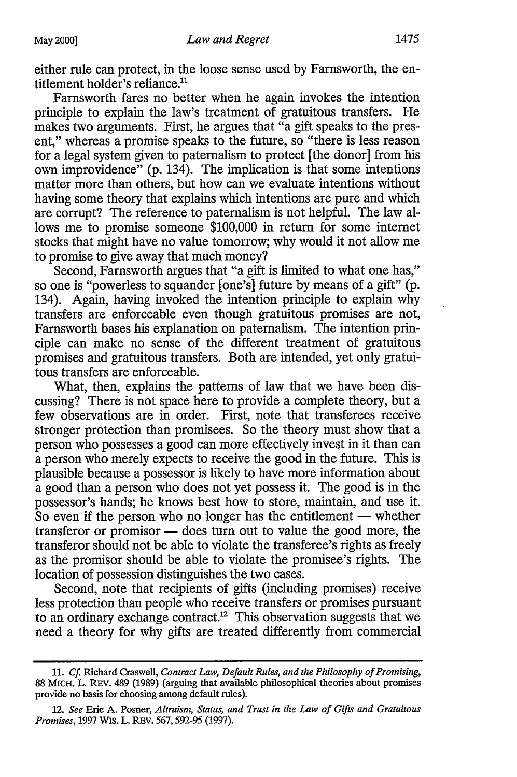either rule can protect, in the loose sense used by Farnsworth, the entitlement holder's reliance.<sup>11</sup>

Farnsworth fares no better when he again invokes the intention principle to explain the law's treatment of gratuitous transfers. He makes two arguments. First, he argues that "a gift speaks to the present," whereas a promise speaks to the future, so "there is less reason for a legal system given to paternalism to protect [the donor] from his own improvidence" (p. 134). The implication is that some intentions matter more than others, but how can we evaluate intentions without having some theory that explains which intentions are pure and which are corrupt? The reference to paternalism is not helpful. The law allows me to promise someone \$100,000 in return for some internet stocks that might have no value tomorrow; why would it not allow me to promise to give away that much money?

Second, Farnsworth argues that "a gift is limited to what one has," so one is "powerless to squander [one's] future by means of a gift" (p. 134). Again, having invoked the intention principle to explain why transfers are enforceable even though gratuitous promises are not, Farnsworth bases his explanation on paternalism. The intention principle can make no sense of the different treatment of gratuitous promises and gratuitous transfers. Both are intended, yet only gratuitous transfers are enforceable.

What, then, explains the patterns of law that we have been discussing? There is not space here to provide a complete theory, but a few observations are in order. First, note that transferees receive stronger protection than promisees. So the theory must show that a person who possesses a good can more effectively invest in it than can a person who merely expects to receive the good in the future. This is plausible because a possessor is likely to have more information about a good than a person who does not yet possess it. The good is in the possessor's hands; he knows best how to store, maintain, and use it. So even if the person who no longer has the entitlement  $-$  whether  $transferror$  or promisor  $-$  does turn out to value the good more, the transferor should not be able to violate the transferee's rights as freely as the promisor should be able to violate the promisee's rights. The location of possession distinguishes the two cases.

Second, note that recipients of gifts (including promises) receive less protection than people who receive transfers or promises pursuant to an ordinary exchange contract.<sup>12</sup> This observation suggests that we need a theory for why gifts are treated differently from commercial

<sup>11.</sup> *Cf* Richard Craswel, *Contract Law, Default Rules, and the Philosophy of Promising,* 88 MIcH. L. REv. 489 (1989) (arguing that available philosophical theories about promises provide no basis for choosing among default rules).

<sup>12.</sup> *See* Eric A. Posner, *Altruism, Status, and Trust in the Law of Gifts and Gratuitous Promises,* 1997 Wis. L. Rav. **567,592-95** (1997).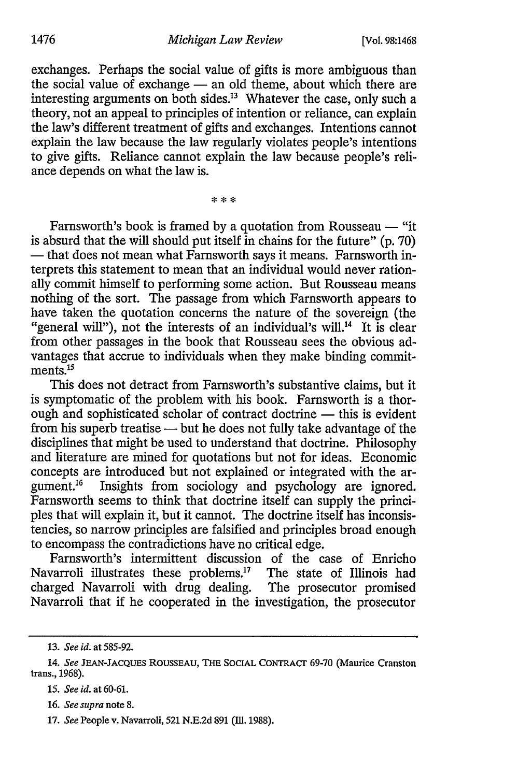exchanges. Perhaps the social value of gifts is more ambiguous than the social value of exchange  $-$  an old theme, about which there are interesting arguments on both sides.<sup>13</sup> Whatever the case, only such a theory, not an appeal to principles of intention or reliance, can explain the law's different treatment of gifts and exchanges. Intentions cannot explain the law because the law regularly violates people's intentions to give gifts. Reliance cannot explain the law because people's reliance depends on what the law is.

\* \* \*

Farnsworth's book is framed by a quotation from Rousseau  $-$  "it is absurd that the will should put itself in chains for the future" (p. 70) **-** that does not mean what Farnsworth says it means. Farnsworth interprets this statement to mean that an individual would never rationally commit himself to performing some action. But Rousseau means nothing of the sort. The passage from which Farnsworth appears to have taken the quotation concerns the nature of the sovereign (the "general will"), not the interests of an individual's will.<sup>14</sup> It is clear from other passages in the book that Rousseau sees the obvious advantages that accrue to individuals when they make binding commitments.<sup>15</sup>

This does not detract from Farnsworth's substantive claims, but it is symptomatic of the problem with his book. Farnsworth is a thorough and sophisticated scholar of contract doctrine - this is evident from his superb treatise — but he does not fully take advantage of the disciplines that might be used to understand that doctrine. Philosophy and literature are mined for quotations but not for ideas. Economic concepts are introduced but not explained or integrated with the argument.<sup>16</sup> Insights from sociology and psychology are ignored. Farnsworth seems to think that doctrine itself can supply the principles that will explain it, but it cannot. The doctrine itself has inconsistencies, so narrow principles are falsified and principles broad enough to encompass the contradictions have no critical edge.

Farnsworth's intermittent discussion of the case of Enricho Navarroli illustrates these problems.<sup>17</sup> The state of Illinois had charged Navarroli with drug dealing. The prosecutor promised charged Navarroli with drug dealing. Navarroli that if he cooperated in the investigation, the prosecutor

<sup>13.</sup> *See id.* at 585-92.

<sup>14.</sup> *See* JEAN-JACQUES ROUSSEAU, **THE** SOCIAL **CoNTRACT** 69-70 (Maurice Cranston trans., 1968).

*<sup>15.</sup> See id.* at 60-61.

<sup>16.</sup> *See supra* note 8.

<sup>17.</sup> *See* People v. Navarroli, 521 N.E.2d 891 (Il1. 1988).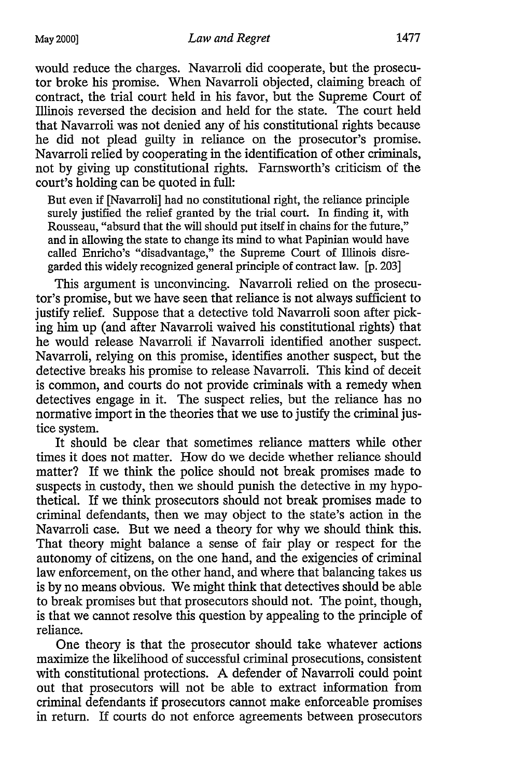would reduce the charges. Navarroli did cooperate, but the prosecutor broke his promise. When Navarroli objected, claiming breach of contract, the trial court held in his favor, but the Supreme Court of Illinois reversed the decision and held for the state. The court held that Navarroli was not denied any of his constitutional rights because he did not plead guilty in reliance on the prosecutor's promise. Navarroli relied by cooperating in the identification of other criminals, not by giving up constitutional rights. Farnsworth's criticism of the court's holding can be quoted in full:

But even if [Navarroli] had no constitutional right, the reliance principle surely justified the relief granted by the trial court. In finding it, with Rousseau, "absurd that the will should put itself in chains for the future," and in allowing the state to change its mind to what Papinian would have called Enricho's "disadvantage," the Supreme Court of Illinois disregarded this widely recognized general principle of contract law. [p. 203]

This argument is unconvincing. Navarroli relied on the prosecutor's promise, but we have seen that reliance is not always sufficient to justify relief. Suppose that a detective told Navarroli soon after picking him up (and after Navarroli waived his constitutional rights) that he would release Navarroli if Navarroli identified another suspect. Navarroli, relying on this promise, identifies another suspect, but the detective breaks his promise to release Navarroli. This kind of deceit is common, and courts do not provide criminals with a remedy when detectives engage in it. The suspect relies, but the reliance has no normative import in the theories that we use to justify the criminal justice system.

It should be clear that sometimes reliance matters while other times it does not matter. How do we decide whether reliance should matter? If we think the police should not break promises made to suspects in custody, then we should punish the detective in my hypothetical. If we think prosecutors should not break promises made to criminal defendants, then we may object to the state's action in the Navarroli case. But we need a theory for why we should think this. That theory might balance a sense of fair play or respect for the autonomy of citizens, on the one hand, and the exigencies of criminal law enforcement, on the other hand, and where that balancing takes us is by no means obvious. We might think that detectives should be able to break promises but that prosecutors should not. The point, though, is that we cannot resolve this question by appealing to the principle of reliance.

One theory is that the prosecutor should take whatever actions maximize the likelihood of successful criminal prosecutions, consistent with constitutional protections. A defender of Navarroli could point out that prosecutors will not be able to extract information from criminal defendants if prosecutors cannot make enforceable promises in return. If courts do not enforce agreements between prosecutors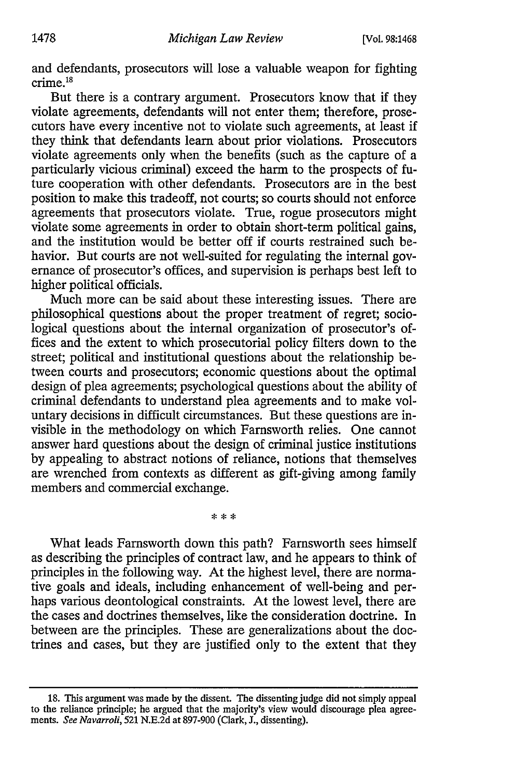and defendants, prosecutors will lose a valuable weapon for fighting crime.<sup>18</sup>

But there is a contrary argument. Prosecutors know that if they violate agreements, defendants will not enter them; therefore, prosecutors have every incentive not to violate such agreements, at least if they think that defendants learn about prior violations. Prosecutors violate agreements only when the benefits (such as the capture of a particularly vicious criminal) exceed the harm to the prospects of future cooperation with other defendants. Prosecutors are in the best position to make this tradeoff, not courts; so courts should not enforce agreements that prosecutors violate. True, rogue prosecutors might violate some agreements in order to obtain short-term political gains, and the institution would be better off if courts restrained such behavior. But courts are not well-suited for regulating the internal governance of prosecutor's offices, and supervision is perhaps best left to higher political officials.

Much more can be said about these interesting issues. There are philosophical questions about the proper treatment of regret; sociological questions about the internal organization of prosecutor's offices and the extent to which prosecutorial policy filters down to the street; political and institutional questions about the relationship between courts and prosecutors; economic questions about the optimal design of plea agreements; psychological questions about the ability of criminal defendants to understand plea agreements and to make voluntary decisions in difficult circumstances. But these questions are invisible in the methodology on which Farnsworth relies. One cannot answer hard questions about the design of criminal justice institutions by appealing to abstract notions of reliance, notions that themselves are wrenched from contexts as different as gift-giving among family members and commercial exchange.

\* \* \*

What leads Farnsworth down this path? Farnsworth sees himself as describing the principles of contract law, and he appears to think of principles in the following way. At the highest level, there are normative goals and ideals, including enhancement of well-being and perhaps various deontological constraints. At the lowest level, there are the cases and doctrines themselves, like the consideration doctrine. In between are the principles. These are generalizations about the doctrines and cases, but they are justified only to the extent that they

<sup>18.</sup> This argument was made by the dissent. The dissenting judge did not simply appeal to the reliance principle; he argued that the majority's view would discourage plea agreements. *See Navarroli,* 521 N.E.2d at 897-900 (Clark, J., dissenting).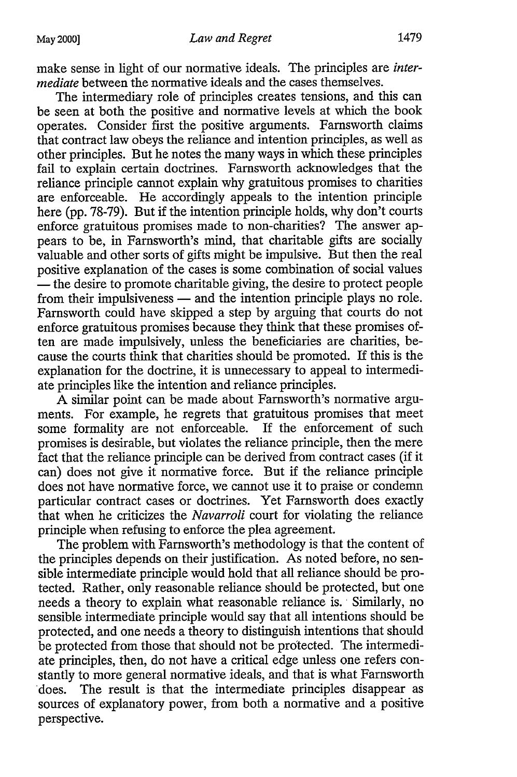make sense in light of our normative ideals. The principles are *intermediate* between the normative ideals and the cases themselves.

The intermediary role of principles creates tensions, and this can be seen at both the positive and normative levels at which the book operates. Consider first the positive arguments. Farnsworth claims that contract law obeys the reliance and intention principles, as well as other principles. But he notes the many ways in which these principles fail to explain certain doctrines. Farnsworth acknowledges that the reliance principle cannot explain why gratuitous promises to charities are enforceable. He accordingly appeals to the intention principle here (pp. 78-79). But if the intention principle holds, why don't courts enforce gratuitous promises made to non-charities? The answer appears to be, in Farnsworth's mind, that charitable gifts are socially valuable and other sorts of gifts might be impulsive. But then the real positive explanation of the cases is some combination of social values  $\sim$  the desire to promote charitable giving, the desire to protect people from their impulsiveness — and the intention principle plays no role. Farnsworth could have skipped a step by arguing that courts do not enforce gratuitous promises because they think that these promises often are made impulsively, unless the beneficiaries are charities, because the courts think that charities should be promoted. If this is the explanation for the doctrine, it is unnecessary to appeal to intermediate principles like the intention and reliance principles.

A similar point can be made about Farnsworth's normative arguments. For example, he regrets that gratuitous promises that meet some formality are not enforceable. If the enforcement of such promises is desirable, but violates the reliance principle, then the mere fact that the reliance principle can be derived from contract cases (if it can) does not give it normative force. But if the reliance principle does not have normative force, we cannot use it to praise or condemn particular contract cases or doctrines. Yet Farnsworth does exactly that when he criticizes the *Navarroli* court for violating the reliance principle when refusing to enforce the plea agreement.

The problem with Farnsworth's methodology is that the content of the principles depends on their justification. As noted before, no sensible intermediate principle would hold that all reliance should be protected. Rather, only reasonable reliance should be protected, but one needs a theory to explain what reasonable reliance is. Similarly, no sensible intermediate principle would say that all intentions should be protected, and one needs a theory to distinguish intentions that should be protected from those that should not be protected. The intermediate principles, then, do not have a critical edge unless one refers constantly to more general normative ideals, and that is what Farnsworth does. The result is that the intermediate principles disappear as sources of explanatory power, from both a normative and a positive perspective.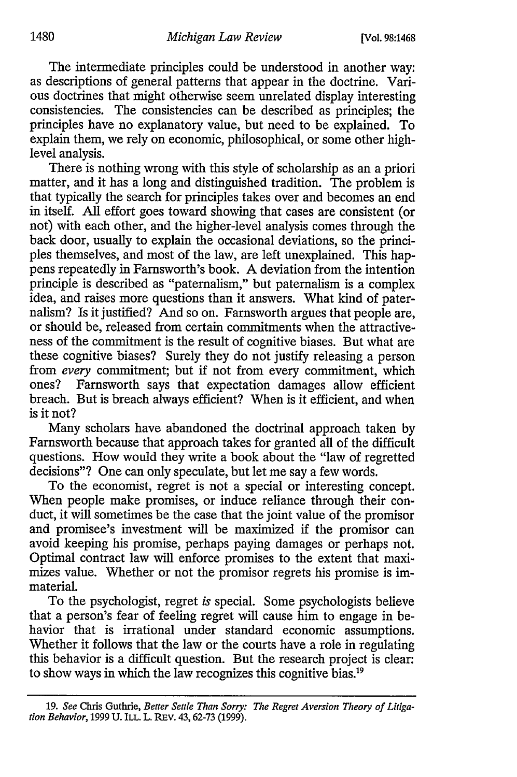The intermediate principles could be understood in another way: as descriptions of general patterns that appear in the doctrine. Various doctrines that might otherwise seem unrelated display interesting consistencies. The consistencies can be described as principles; the principles have no explanatory value, but need to be explained. To explain them, we rely on economic, philosophical, or some other highlevel analysis.

There is nothing wrong with this style of scholarship as an a priori matter, and it has a long and distinguished tradition. The problem is that typically the search for principles takes over and becomes an end in itself. All effort goes toward showing that cases are consistent (or not) with each other, and the higher-level analysis comes through the back door, usually to explain the occasional deviations, so the principles themselves, and most of the law, are left unexplained. This happens repeatedly in Farnsworth's book. A deviation from the intention principle is described as "paternalism," but paternalism is a complex idea, and raises more questions than it answers. What kind of paternalism? Is it justified? And so on. Farnsworth argues that people are, or should be, released from certain commitments when the attractiveness of the commitment is the result of cognitive biases. But what are these cognitive biases? Surely they do not justify releasing a person from *every* commitment; but if not from every commitment, which ones? Farnsworth says that expectation damages allow efficient breach. But is breach always efficient? When is it efficient, and when is it not?

Many scholars have abandoned the doctrinal approach taken by Farnsworth because that approach takes for granted all of the difficult questions. How would they write a book about the "law of regretted decisions"? One can only speculate, but let me say a few words.

To the economist, regret is not a special or interesting concept. When people make promises, or induce reliance through their conduct, it will sometimes be the case that the joint value of the promisor and promisee's investment will be maximized if the promisor can avoid keeping his promise, perhaps paying damages or perhaps not. Optimal contract law will enforce promises to the extent that maximizes value. Whether or not the promisor regrets his promise is immaterial.

To the psychologist, regret *is* special. Some psychologists believe that a person's fear of feeling regret will cause him to engage in behavior that is irrational under standard economic assumptions. Whether it follows that the law or the courts have a role in regulating this behavior is a difficult question. But the research project is clear: to show ways in which the law recognizes this cognitive bias.19

**<sup>19.</sup>** *See* Chris Guthrie, *Better Settle Than Sorry: The Regret Aversion Theory of Litigation Behavior,* **1999 U.** ILL. L. REv. **43,62-73 (1999).**